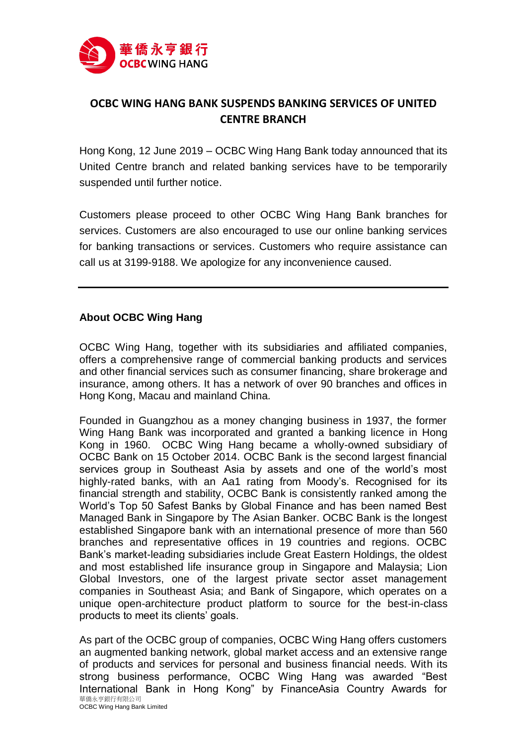

## **OCBC WING HANG BANK SUSPENDS BANKING SERVICES OF UNITED CENTRE BRANCH**

Hong Kong, 12 June 2019 – OCBC Wing Hang Bank today announced that its United Centre branch and related banking services have to be temporarily suspended until further notice.

Customers please proceed to other OCBC Wing Hang Bank branches for services. Customers are also encouraged to use our online banking services for banking transactions or services. Customers who require assistance can call us at 3199-9188. We apologize for any inconvenience caused.

## **About OCBC Wing Hang**

OCBC Wing Hang, together with its subsidiaries and affiliated companies, offers a comprehensive range of commercial banking products and services and other financial services such as consumer financing, share brokerage and insurance, among others. It has a network of over 90 branches and offices in Hong Kong, Macau and mainland China.

Founded in Guangzhou as a money changing business in 1937, the former Wing Hang Bank was incorporated and granted a banking licence in Hong Kong in 1960. OCBC Wing Hang became a wholly-owned subsidiary of OCBC Bank on 15 October 2014. OCBC Bank is the second largest financial services group in Southeast Asia by assets and one of the world's most highly-rated banks, with an Aa1 rating from Moody's. Recognised for its financial strength and stability, OCBC Bank is consistently ranked among the World's Top 50 Safest Banks by Global Finance and has been named Best Managed Bank in Singapore by The Asian Banker. OCBC Bank is the longest established Singapore bank with an international presence of more than 560 branches and representative offices in 19 countries and regions. OCBC Bank's market-leading subsidiaries include Great Eastern Holdings, the oldest and most established life insurance group in Singapore and Malaysia; Lion Global Investors, one of the largest private sector asset management companies in Southeast Asia; and Bank of Singapore, which operates on a unique open-architecture product platform to source for the best-in-class products to meet its clients' goals.

華僑永亨銀行有限公司 As part of the OCBC group of companies, OCBC Wing Hang offers customers an augmented banking network, global market access and an extensive range of products and services for personal and business financial needs. With its strong business performance, OCBC Wing Hang was awarded "Best International Bank in Hong Kong" by FinanceAsia Country Awards for